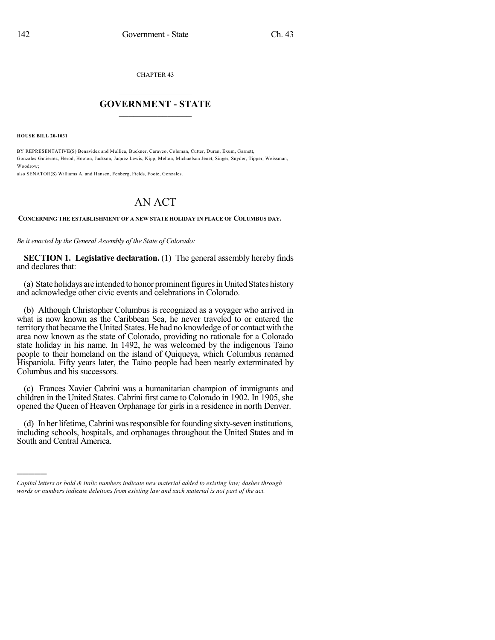CHAPTER 43

## $\mathcal{L}_\text{max}$  . The set of the set of the set of the set of the set of the set of the set of the set of the set of the set of the set of the set of the set of the set of the set of the set of the set of the set of the set **GOVERNMENT - STATE**  $\_$   $\_$   $\_$   $\_$   $\_$   $\_$   $\_$   $\_$

**HOUSE BILL 20-1031**

)))))

BY REPRESENTATIVE(S) Benavidez and Mullica, Buckner, Caraveo, Coleman, Cutter, Duran, Exum, Garnett, Gonzales-Gutierrez, Herod, Hooton, Jackson, Jaquez Lewis, Kipp, Melton, Michaelson Jenet, Singer, Snyder, Tipper, Weissman, Woodrow;

also SENATOR(S) Williams A. and Hansen, Fenberg, Fields, Foote, Gonzales.

## AN ACT

## **CONCERNING THE ESTABLISHMENT OF A NEW STATE HOLIDAY IN PLACE OF COLUMBUS DAY.**

*Be it enacted by the General Assembly of the State of Colorado:*

**SECTION 1. Legislative declaration.** (1) The general assembly hereby finds and declares that:

(a) State holidays are intended to honor prominent figures in United States history and acknowledge other civic events and celebrations in Colorado.

(b) Although Christopher Columbus is recognized as a voyager who arrived in what is now known as the Caribbean Sea, he never traveled to or entered the territory that became the United States. He had no knowledge of or contact with the area now known as the state of Colorado, providing no rationale for a Colorado state holiday in his name. In 1492, he was welcomed by the indigenous Taino people to their homeland on the island of Quiqueya, which Columbus renamed Hispaniola. Fifty years later, the Taino people had been nearly exterminated by Columbus and his successors.

(c) Frances Xavier Cabrini was a humanitarian champion of immigrants and children in the United States. Cabrini first came to Colorado in 1902. In 1905, she opened the Queen of Heaven Orphanage for girls in a residence in north Denver.

(d) In herlifetime,Cabriniwasresponsible forfounding sixty-seven institutions, including schools, hospitals, and orphanages throughout the United States and in South and Central America.

*Capital letters or bold & italic numbers indicate new material added to existing law; dashes through words or numbers indicate deletions from existing law and such material is not part of the act.*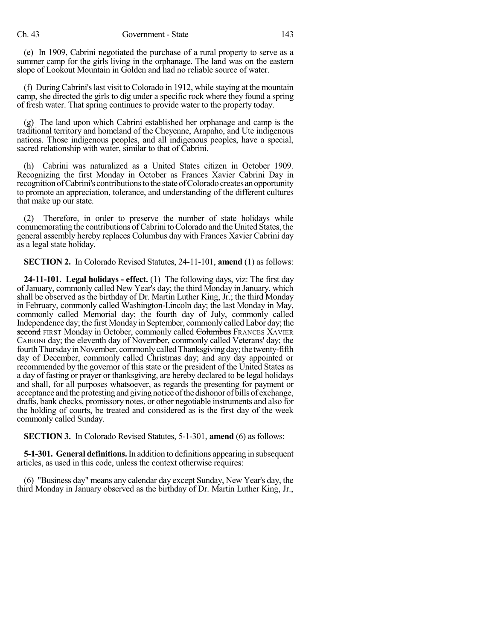(e) In 1909, Cabrini negotiated the purchase of a rural property to serve as a summer camp for the girls living in the orphanage. The land was on the eastern slope of Lookout Mountain in Golden and had no reliable source of water.

(f) During Cabrini'slast visit to Colorado in 1912, while staying at the mountain camp, she directed the girls to dig under a specific rock where they found a spring of fresh water. That spring continues to provide water to the property today.

(g) The land upon which Cabrini established her orphanage and camp is the traditional territory and homeland of the Cheyenne, Arapaho, and Ute indigenous nations. Those indigenous peoples, and all indigenous peoples, have a special, sacred relationship with water, similar to that of Cabrini.

(h) Cabrini was naturalized as a United States citizen in October 1909. Recognizing the first Monday in October as Frances Xavier Cabrini Day in recognition of Cabrini's contributions to the state of Colorado creates an opportunity to promote an appreciation, tolerance, and understanding of the different cultures that make up our state.

(2) Therefore, in order to preserve the number of state holidays while commemorating the contributions of Cabrini to Colorado and the United States, the general assembly hereby replaces Columbus day with Frances Xavier Cabrini day as a legal state holiday.

**SECTION 2.** In Colorado Revised Statutes, 24-11-101, **amend** (1) as follows:

**24-11-101. Legal holidays - effect.** (1) The following days, viz: The first day of January, commonly called New Year's day; the third Monday in January, which shall be observed as the birthday of Dr. Martin Luther King, Jr.; the third Monday in February, commonly called Washington-Lincoln day; the last Monday in May, commonly called Memorial day; the fourth day of July, commonly called Independence day; the first Mondayin September, commonly calledLabor day; the second FIRST Monday in October, commonly called Columbus FRANCES XAVIER CABRINI day; the eleventh day of November, commonly called Veterans' day; the fourth Thursday in November, commonly called Thanksgiving day; the twenty-fifth day of December, commonly called Christmas day; and any day appointed or recommended by the governor of this state or the president of the United States as a day of fasting or prayer or thanksgiving, are hereby declared to be legal holidays and shall, for all purposes whatsoever, as regards the presenting for payment or acceptance and the protesting and giving notice of the dishonor of bills of exchange, drafts, bank checks, promissory notes, or other negotiable instruments and also for the holding of courts, be treated and considered as is the first day of the week commonly called Sunday.

**SECTION 3.** In Colorado Revised Statutes, 5-1-301, **amend** (6) as follows:

**5-1-301. General definitions.**In addition to definitions appearing in subsequent articles, as used in this code, unless the context otherwise requires:

(6) "Business day" means any calendar day except Sunday, New Year's day, the third Monday in January observed as the birthday of Dr. Martin Luther King, Jr.,